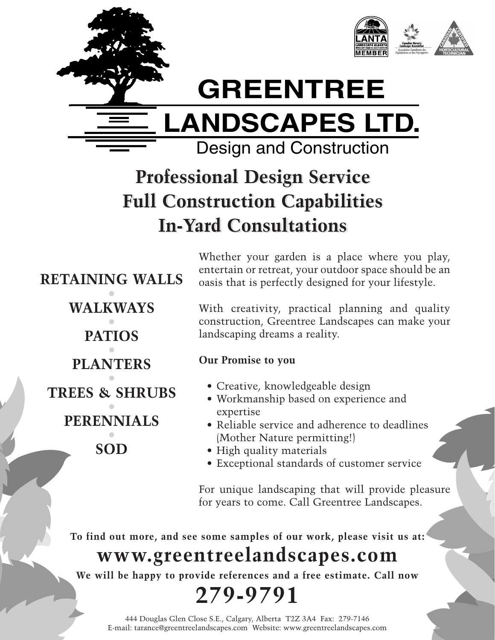

# **GREENTREE**

**LANDSCAPES LTD.**

Design and Construction

### **Professional Design Service Professional Design Service Full Construction Capabilities Full Construction Capabilities In-Yard Consultations In-Yard Consultations**

**RETAINING WALLS • WALKWAYS • PATIOS • PLANTERS • TREES & SHRUBS • PERENNIALS • SOD**

Whether your garden is a place where you play, entertain or retreat, your outdoor space should be an oasis that is perfectly designed for your lifestyle.

With creativity, practical planning and quality construction, Greentree Landscapes can make your landscaping dreams a reality.

#### **Our Promise to you**

- Creative, knowledgeable design
- Workmanship based on experience and expertise
- Reliable service and adherence to deadlines (Mother Nature permitting!)
- High quality materials
- Exceptional standards of customer service

For unique landscaping that will provide pleasure for years to come. Call Greentree Landscapes.

**To find out more, and see some samples of our work, please visit us at:**

### **www.greentreelandscapes.com**

**We will be happy to provide references and a free estimate. Call now**

## **279-9791**

444 Douglas Glen Close S.E., Calgary, Alberta T2Z 3A4 Fax: 279-7146 E-mail: tarance@greentreelandscapes.com Website: www.greentreelandscapes.com